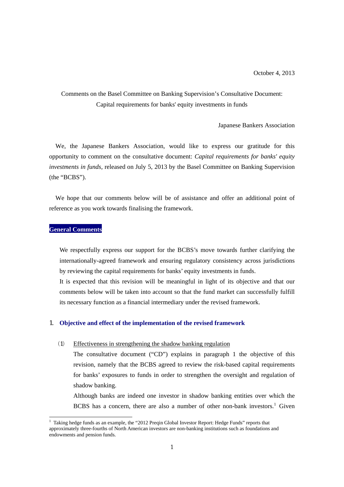### Comments on the Basel Committee on Banking Supervision's Consultative Document: Capital requirements for banks' equity investments in funds

Japanese Bankers Association

We, the Japanese Bankers Association, would like to express our gratitude for this opportunity to comment on the consultative document: *Capital requirements for banks' equity investments in funds,* released on July 5, 2013 by the Basel Committee on Banking Supervision (the "BCBS").

We hope that our comments below will be of assistance and offer an additional point of reference as you work towards finalising the framework.

### **General Comments**

 $\overline{a}$ 

We respectfully express our support for the BCBS's move towards further clarifying the internationally-agreed framework and ensuring regulatory consistency across jurisdictions by reviewing the capital requirements for banks' equity investments in funds.

It is expected that this revision will be meaningful in light of its objective and that our comments below will be taken into account so that the fund market can successfully fulfill its necessary function as a financial intermediary under the revised framework.

### 1. **Objective and effect of the implementation of the revised framework**

#### (1) Effectiveness in strengthening the shadow banking regulation

The consultative document ("CD") explains in paragraph 1 the objective of this revision, namely that the BCBS agreed to review the risk-based capital requirements for banks' exposures to funds in order to strengthen the oversight and regulation of shadow banking.

Although banks are indeed one investor in shadow banking entities over which the BCBS has a concern, there are also a number of other non-bank investors.<sup>1</sup> Given

<sup>&</sup>lt;sup>1</sup> Taking hedge funds as an example, the "2012 Preqin Global Investor Report: Hedge Funds" reports that approximately three-fourths of North American investors are non-banking institutions such as foundations and endowments and pension funds.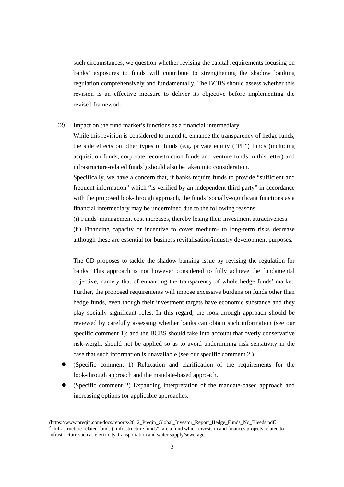such circumstances, we question whether revising the capital requirements focusing on banks' exposures to funds will contribute to strengthening the shadow banking regulation comprehensively and fundamentally. The BCBS should assess whether this revision is an effective measure to deliver its objective before implementing the revised framework.

### (2) Impact on the fund market's functions as a financial intermediary

While this revision is considered to intend to enhance the transparency of hedge funds, the side effects on other types of funds (e.g. private equity ("PE") funds (including acquisition funds, corporate reconstruction funds and venture funds in this letter) and infrastructure-related funds<sup>2</sup>) should also be taken into consideration.

Specifically, we have a concern that, if banks require funds to provide "sufficient and frequent information" which "is verified by an independent third party" in accordance with the proposed look-through approach, the funds' socially-significant functions as a financial intermediary may be undermined due to the following reasons:

(i) Funds' management cost increases, thereby losing their investment attractiveness.

(ii) Financing capacity or incentive to cover medium- to long-term risks decrease although these are essential for business revitalisation/industry development purposes.

The CD proposes to tackle the shadow banking issue by revising the regulation for banks. This approach is not however considered to fully achieve the fundamental objective, namely that of enhancing the transparency of whole hedge funds' market. Further, the proposed requirements will impose excessive burdens on funds other than hedge funds, even though their investment targets have economic substance and they play socially significant roles. In this regard, the look-through approach should be reviewed by carefully assessing whether banks can obtain such information (see our specific comment 1); and the BCBS should take into account that overly conservative risk-weight should not be applied so as to avoid undermining risk sensitivity in the case that such information is unavailable (see our specific comment 2.)

- (Specific comment 1) Relaxation and clarification of the requirements for the look-through approach and the mandate-based approach.
- (Specific comment 2) Expanding interpretation of the mandate-based approach and increasing options for applicable approaches.

-

<sup>(</sup>https://www.preqin.com/docs/reports/2012\_Preqin\_Global\_Investor\_Report\_Hedge\_Funds\_No\_Bleeds.pdf)

<sup>2</sup> Infrastructure-related funds ("infrastructure funds") are a fund which invests in and finances projects related to infrastructure such as electricity, transportation and water supply/sewerage.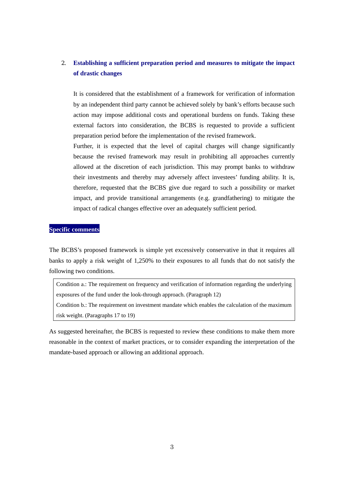## 2. **Establishing a sufficient preparation period and measures to mitigate the impact of drastic changes**

It is considered that the establishment of a framework for verification of information by an independent third party cannot be achieved solely by bank's efforts because such action may impose additional costs and operational burdens on funds. Taking these external factors into consideration, the BCBS is requested to provide a sufficient preparation period before the implementation of the revised framework.

Further, it is expected that the level of capital charges will change significantly because the revised framework may result in prohibiting all approaches currently allowed at the discretion of each jurisdiction. This may prompt banks to withdraw their investments and thereby may adversely affect investees' funding ability. It is, therefore, requested that the BCBS give due regard to such a possibility or market impact, and provide transitional arrangements (e.g. grandfathering) to mitigate the impact of radical changes effective over an adequately sufficient period.

### **Specific comments**

The BCBS's proposed framework is simple yet excessively conservative in that it requires all banks to apply a risk weight of 1,250% to their exposures to all funds that do not satisfy the following two conditions.

Condition a.: The requirement on frequency and verification of information regarding the underlying exposures of the fund under the look-through approach. (Paragraph 12)

Condition b.: The requirement on investment mandate which enables the calculation of the maximum risk weight. (Paragraphs 17 to 19)

As suggested hereinafter, the BCBS is requested to review these conditions to make them more reasonable in the context of market practices, or to consider expanding the interpretation of the mandate-based approach or allowing an additional approach.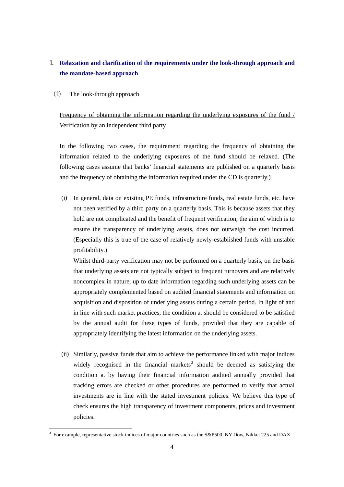## 1. **Relaxation and clarification of the requirements under the look-through approach and the mandate-based approach**

(1) The look-through approach

-

# Frequency of obtaining the information regarding the underlying exposures of the fund / Verification by an independent third party

In the following two cases, the requirement regarding the frequency of obtaining the information related to the underlying exposures of the fund should be relaxed. (The following cases assume that banks' financial statements are published on a quarterly basis and the frequency of obtaining the information required under the CD is quarterly.)

(i) In general, data on existing PE funds, infrastructure funds, real estate funds, etc. have not been verified by a third party on a quarterly basis. This is because assets that they hold are not complicated and the benefit of frequent verification, the aim of which is to ensure the transparency of underlying assets, does not outweigh the cost incurred. (Especially this is true of the case of relatively newly-established funds with unstable profitability.)

Whilst third-party verification may not be performed on a quarterly basis, on the basis that underlying assets are not typically subject to frequent turnovers and are relatively noncomplex in nature, up to date information regarding such underlying assets can be appropriately complemented based on audited financial statements and information on acquisition and disposition of underlying assets during a certain period. In light of and in line with such market practices, the condition a. should be considered to be satisfied by the annual audit for these types of funds, provided that they are capable of appropriately identifying the latest information on the underlying assets.

(ii) Similarly, passive funds that aim to achieve the performance linked with major indices widely recognised in the financial markets<sup>3</sup> should be deemed as satisfying the condition a. by having their financial information audited annually provided that tracking errors are checked or other procedures are performed to verify that actual investments are in line with the stated investment policies. We believe this type of check ensures the high transparency of investment components, prices and investment policies.

<sup>3</sup> For example, representative stock indices of major countries such as the S&P500, NY Dow, Nikkei 225 and DAX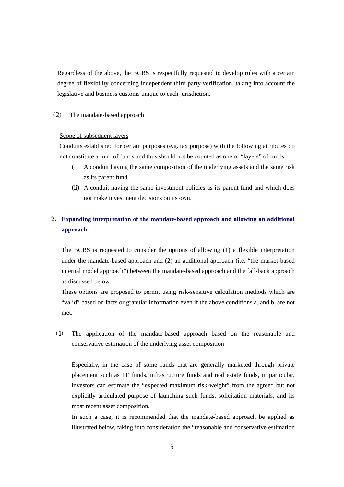Regardless of the above, the BCBS is respectfully requested to develop rules with a certain degree of flexibility concerning independent third party verification, taking into account the legislative and business customs unique to each jurisdiction.

### (2) The mandate-based approach

#### Scope of subsequent layers

Conduits established for certain purposes (e.g. tax purpose) with the following attributes do not constitute a fund of funds and thus should not be counted as one of "layers" of funds.

- (i) A conduit having the same composition of the underlying assets and the same risk as its parent fund.
- (ii) A conduit having the same investment policies as its parent fund and which does not make investment decisions on its own.

# 2. **Expanding interpretation of the mandate-based approach and allowing an additional approach**

The BCBS is requested to consider the options of allowing (1) a flexible interpretation under the mandate-based approach and (2) an additional approach (i.e. "the market-based internal model approach") between the mandate-based approach and the fall-back approach as discussed below.

These options are proposed to permit using risk-sensitive calculation methods which are "valid" based on facts or granular information even if the above conditions a. and b. are not met.

(1) The application of the mandate-based approach based on the reasonable and conservative estimation of the underlying asset composition

Especially, in the case of some funds that are generally marketed through private placement such as PE funds, infrastructure funds and real estate funds, in particular, investors can estimate the "expected maximum risk-weight" from the agreed but not explicitly articulated purpose of launching such funds, solicitation materials, and its most recent asset composition.

In such a case, it is recommended that the mandate-based approach be applied as illustrated below, taking into consideration the "reasonable and conservative estimation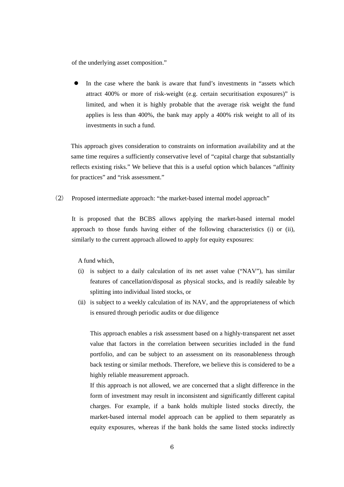of the underlying asset composition."

 In the case where the bank is aware that fund's investments in "assets which attract 400% or more of risk-weight (e.g. certain securitisation exposures)" is limited, and when it is highly probable that the average risk weight the fund applies is less than 400%, the bank may apply a 400% risk weight to all of its investments in such a fund.

This approach gives consideration to constraints on information availability and at the same time requires a sufficiently conservative level of "capital charge that substantially reflects existing risks." We believe that this is a useful option which balances "affinity for practices" and "risk assessment."

(2) Proposed intermediate approach: "the market-based internal model approach"

It is proposed that the BCBS allows applying the market-based internal model approach to those funds having either of the following characteristics (i) or (ii), similarly to the current approach allowed to apply for equity exposures:

A fund which,

- (i) is subject to a daily calculation of its net asset value ("NAV"), has similar features of cancellation/disposal as physical stocks, and is readily saleable by splitting into individual listed stocks, or
- (ii) is subject to a weekly calculation of its NAV, and the appropriateness of which is ensured through periodic audits or due diligence

This approach enables a risk assessment based on a highly-transparent net asset value that factors in the correlation between securities included in the fund portfolio, and can be subject to an assessment on its reasonableness through back testing or similar methods. Therefore, we believe this is considered to be a highly reliable measurement approach.

If this approach is not allowed, we are concerned that a slight difference in the form of investment may result in inconsistent and significantly different capital charges. For example, if a bank holds multiple listed stocks directly, the market-based internal model approach can be applied to them separately as equity exposures, whereas if the bank holds the same listed stocks indirectly